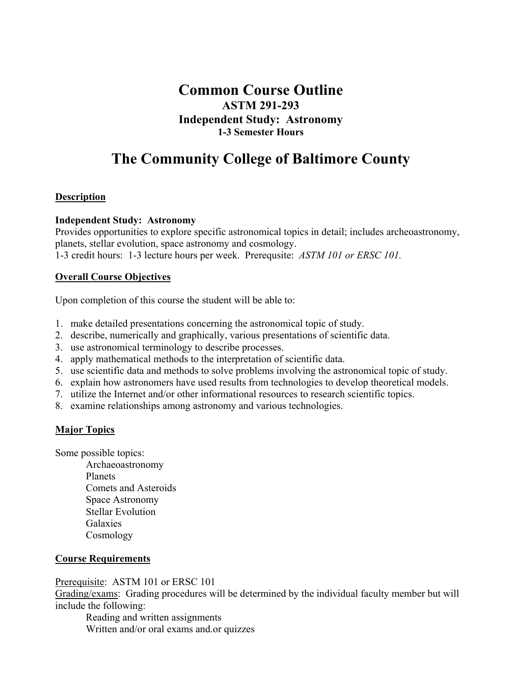# **Common Course Outline ASTM 291-293 Independent Study: Astronomy 1-3 Semester Hours**

# **The Community College of Baltimore County**

# **Description**

#### **Independent Study: Astronomy**

Provides opportunities to explore specific astronomical topics in detail; includes archeoastronomy, planets, stellar evolution, space astronomy and cosmology. 1-3 credit hours: 1-3 lecture hours per week. Prerequsite: *ASTM 101 or ERSC 101.*

#### **Overall Course Objectives**

Upon completion of this course the student will be able to:

- 1. make detailed presentations concerning the astronomical topic of study.
- 2. describe, numerically and graphically, various presentations of scientific data.
- 3. use astronomical terminology to describe processes.
- 4. apply mathematical methods to the interpretation of scientific data.
- 5. use scientific data and methods to solve problems involving the astronomical topic of study.
- 6. explain how astronomers have used results from technologies to develop theoretical models.
- 7. utilize the Internet and/or other informational resources to research scientific topics.
- 8. examine relationships among astronomy and various technologies.

# **Major Topics**

Some possible topics:

 Archaeoastronomy Planets Comets and Asteroids Space Astronomy Stellar Evolution Galaxies Cosmology

# **Course Requirements**

# Prerequisite: ASTM 101 or ERSC 101

Grading/exams: Grading procedures will be determined by the individual faculty member but will include the following:

Reading and written assignments Written and/or oral exams and.or quizzes